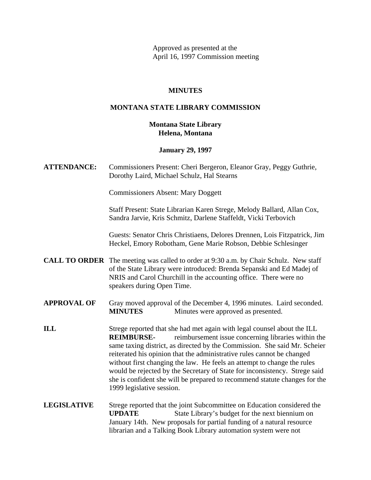Approved as presented at the April 16, 1997 Commission meeting

## **MINUTES**

## **MONTANA STATE LIBRARY COMMISSION**

## **Montana State Library Helena, Montana**

#### **January 29, 1997**

**ATTENDANCE:** Commissioners Present: Cheri Bergeron, Eleanor Gray, Peggy Guthrie, Dorothy Laird, Michael Schulz, Hal Stearns

Commissioners Absent: Mary Doggett

Staff Present: State Librarian Karen Strege, Melody Ballard, Allan Cox, Sandra Jarvie, Kris Schmitz, Darlene Staffeldt, Vicki Terbovich

Guests: Senator Chris Christiaens, Delores Drennen, Lois Fitzpatrick, Jim Heckel, Emory Robotham, Gene Marie Robson, Debbie Schlesinger

**CALL TO ORDER** The meeting was called to order at 9:30 a.m. by Chair Schulz. New staff of the State Library were introduced: Brenda Sepanski and Ed Madej of NRIS and Carol Churchill in the accounting office. There were no speakers during Open Time.

## **APPROVAL OF** Gray moved approval of the December 4, 1996 minutes. Laird seconded. **MINUTES** Minutes were approved as presented.

- **ILL** Strege reported that she had met again with legal counsel about the ILL **REIMBURSE-** reimbursement issue concerning libraries within the same taxing district, as directed by the Commission. She said Mr. Scheier reiterated his opinion that the administrative rules cannot be changed without first changing the law. He feels an attempt to change the rules would be rejected by the Secretary of State for inconsistency. Strege said she is confident she will be prepared to recommend statute changes for the 1999 legislative session.
- **LEGISLATIVE** Strege reported that the joint Subcommittee on Education considered the **UPDATE** State Library's budget for the next biennium on January 14th. New proposals for partial funding of a natural resource librarian and a Talking Book Library automation system were not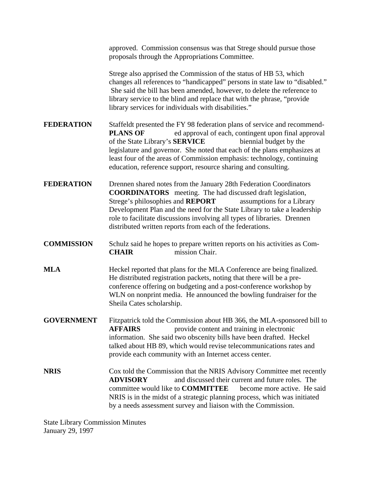|                                         | approved. Commission consensus was that Strege should pursue those<br>proposals through the Appropriations Committee.                                                                                                                                                                                                                                                                                                                  |
|-----------------------------------------|----------------------------------------------------------------------------------------------------------------------------------------------------------------------------------------------------------------------------------------------------------------------------------------------------------------------------------------------------------------------------------------------------------------------------------------|
|                                         | Strege also apprised the Commission of the status of HB 53, which<br>changes all references to "handicapped" persons in state law to "disabled."<br>She said the bill has been amended, however, to delete the reference to<br>library service to the blind and replace that with the phrase, "provide"<br>library services for individuals with disabilities."                                                                        |
| FEDERATION                              | Staffeldt presented the FY 98 federation plans of service and recommend-<br>ed approval of each, contingent upon final approval<br><b>PLANS OF</b><br>biennial budget by the<br>of the State Library's SERVICE<br>legislature and governor. She noted that each of the plans emphasizes at<br>least four of the areas of Commission emphasis: technology, continuing<br>education, reference support, resource sharing and consulting. |
| FEDERATION                              | Drennen shared notes from the January 28th Federation Coordinators<br><b>COORDINATORS</b> meeting. The had discussed draft legislation,<br>Strege's philosophies and REPORT<br>assumptions for a Library<br>Development Plan and the need for the State Library to take a leadership<br>role to facilitate discussions involving all types of libraries. Drennen<br>distributed written reports from each of the federations.          |
| <b>COMMISSION</b>                       | Schulz said he hopes to prepare written reports on his activities as Com-<br><b>CHAIR</b><br>mission Chair.                                                                                                                                                                                                                                                                                                                            |
| MLA                                     | Heckel reported that plans for the MLA Conference are being finalized.<br>He distributed registration packets, noting that there will be a pre-<br>conference offering on budgeting and a post-conference workshop by<br>WLN on nonprint media. He announced the bowling fundraiser for the<br>Sheila Cates scholarship.                                                                                                               |
| <b>GOVERNMENT</b>                       | Fitzpatrick told the Commission about HB 366, the MLA-sponsored bill to<br><b>AFFAIRS</b><br>provide content and training in electronic<br>information. She said two obscenity bills have been drafted. Heckel<br>talked about HB 89, which would revise telecommunications rates and<br>provide each community with an Internet access center.                                                                                        |
| NRIS                                    | Cox told the Commission that the NRIS Advisory Committee met recently<br>and discussed their current and future roles. The<br><b>ADVISORY</b><br>committee would like to <b>COMMITTEE</b><br>become more active. He said<br>NRIS is in the midst of a strategic planning process, which was initiated<br>by a needs assessment survey and liaison with the Commission.                                                                 |
| <b>State Library Commission Minutes</b> |                                                                                                                                                                                                                                                                                                                                                                                                                                        |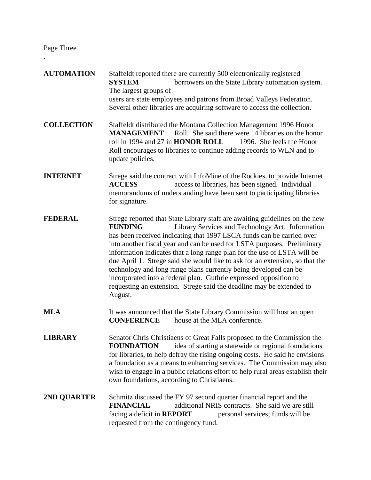Page Three

.

- **AUTOMATION** Staffeldt reported there are currently 500 electronically registered **SYSTEM** borrowers on the State Library automation system. The largest groups of users are state employees and patrons from Broad Valleys Federation. Several other libraries are acquiring software to access the collection.
- **COLLECTION** Staffeldt distributed the Montana Collection Management 1996 Honor **MANAGEMENT** Roll. She said there were 14 libraries on the honor roll in 1994 and 27 in **HONOR ROLL** 1996. She feels the Honor Roll encourages to libraries to continue adding records to WLN and to update policies.
- **INTERNET** Strege said the contract with InfoMine of the Rockies, to provide Internet **ACCESS** access to libraries, has been signed. Individual memorandums of understanding have been sent to participating libraries for signature.
- **FEDERAL** Strege reported that State Library staff are awaiting guidelines on the new **FUNDING** Library Services and Technology Act. Information has been received indicating that 1997 LSCA funds can be carried over into another fiscal year and can be used for LSTA purposes. Preliminary information indicates that a long range plan for the use of LSTA will be due April 1. Strege said she would like to ask for an extension, so that the technology and long range plans currently being developed can be incorporated into a federal plan. Guthrie expressed opposition to requesting an extension. Strege said the deadline may be extended to August.
- **MLA** It was announced that the State Library Commission will host an open **CONFERENCE** house at the MLA conference.
- **LIBRARY** Senator Chris Christiaens of Great Falls proposed to the Commission the **FOUNDATION** idea of starting a statewide or regional foundations for libraries, to help defray the rising ongoing costs. He said he envisions a foundation as a means to enhancing services. The Commission may also wish to engage in a public relations effort to help rural areas establish their own foundations, according to Christiaens.
- **2ND QUARTER** Schmitz discussed the FY 97 second quarter financial report and the **FINANCIAL** additional NRIS contracts. She said we are still facing a deficit in **REPORT** personal services; funds will be requested from the contingency fund.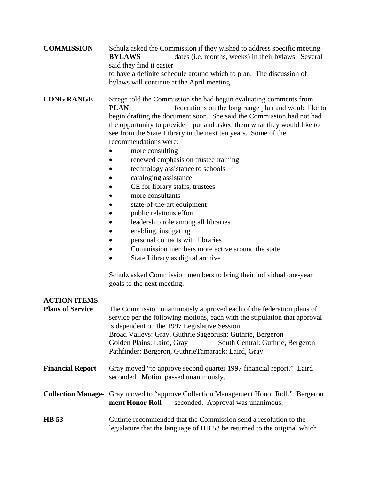**COMMISSION** Schulz asked the Commission if they wished to address specific meeting **BYLAWS** dates (i.e. months, weeks) in their bylaws. Several said they find it easier to have a definite schedule around which to plan. The discussion of bylaws will continue at the April meeting.

**LONG RANGE** Strege told the Commission she had begun evaluating comments from **PLAN** federations on the long range plan and would like to begin drafting the document soon. She said the Commission had not had the opportunity to provide input and asked them what they would like to see from the State Library in the next ten years. Some of the recommendations were:

- more consulting
- renewed emphasis on trustee training
- technology assistance to schools
- cataloging assistance
- CE for library staffs, trustees
- more consultants
- state-of-the-art equipment
- public relations effort
- leadership role among all libraries
- enabling, instigating
- personal contacts with libraries
- Commission members more active around the state
- State Library as digital archive

Schulz asked Commission members to bring their individual one-year goals to the next meeting.

| <b>ACTION ITEMS</b>     |                                                                                                                                                                                                                                                                                                                                                                                         |
|-------------------------|-----------------------------------------------------------------------------------------------------------------------------------------------------------------------------------------------------------------------------------------------------------------------------------------------------------------------------------------------------------------------------------------|
| <b>Plans of Service</b> | The Commission unanimously approved each of the federation plans of<br>service per the following motions, each with the stipulation that approval<br>is dependent on the 1997 Legislative Session:<br>Broad Valleys: Gray, Guthrie Sagebrush: Guthrie, Bergeron<br>Golden Plains: Laird, Gray<br>South Central: Guthrie, Bergeron<br>Pathfinder: Bergeron, GuthrieTamarack: Laird, Gray |
| <b>Financial Report</b> | Gray moved "to approve second quarter 1997 financial report." Laird<br>seconded. Motion passed unanimously.                                                                                                                                                                                                                                                                             |
|                         | <b>Collection Manage-</b> Gray moved to "approve Collection Management Honor Roll." Bergeron<br>ment Honor Roll<br>seconded. Approval was unanimous.                                                                                                                                                                                                                                    |
| <b>HB</b> 53            | Guthrie recommended that the Commission send a resolution to the<br>legislature that the language of HB 53 be returned to the original which                                                                                                                                                                                                                                            |